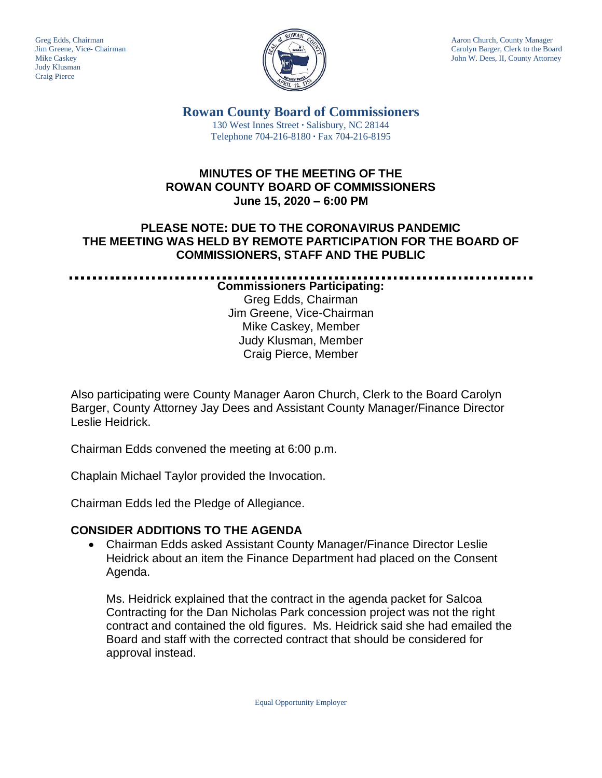Judy Klusman Craig Pierce



Greg Edds, Chairman Aaron Church, County Manager<br>Jim Greene, Vice- Chairman Aaron Church, County Manager and Aaron Church, County Manager and Aaron Church, County Manager Jim Greene, Vice- Chairman Carolyn Barger, Clerk to the Board Carolyn Barger, Clerk to the Board Carolyn Barger, Clerk to the Board Iohn W. Dees, II, County Attorney John W. Dees, II, County Attorney

**Rowan County Board of Commissioners** 130 West Innes Street **∙** Salisbury, NC 28144 Telephone 704-216-8180 **∙** Fax 704-216-8195

# **MINUTES OF THE MEETING OF THE ROWAN COUNTY BOARD OF COMMISSIONERS June 15, 2020 – 6:00 PM**

# **PLEASE NOTE: DUE TO THE CORONAVIRUS PANDEMIC THE MEETING WAS HELD BY REMOTE PARTICIPATION FOR THE BOARD OF COMMISSIONERS, STAFF AND THE PUBLIC**

**Commissioners Participating:** Greg Edds, Chairman Jim Greene, Vice-Chairman Mike Caskey, Member Judy Klusman, Member Craig Pierce, Member

Also participating were County Manager Aaron Church, Clerk to the Board Carolyn Barger, County Attorney Jay Dees and Assistant County Manager/Finance Director Leslie Heidrick.

Chairman Edds convened the meeting at 6:00 p.m.

Chaplain Michael Taylor provided the Invocation.

Chairman Edds led the Pledge of Allegiance.

# **CONSIDER ADDITIONS TO THE AGENDA**

• Chairman Edds asked Assistant County Manager/Finance Director Leslie Heidrick about an item the Finance Department had placed on the Consent Agenda.

Ms. Heidrick explained that the contract in the agenda packet for Salcoa Contracting for the Dan Nicholas Park concession project was not the right contract and contained the old figures. Ms. Heidrick said she had emailed the Board and staff with the corrected contract that should be considered for approval instead.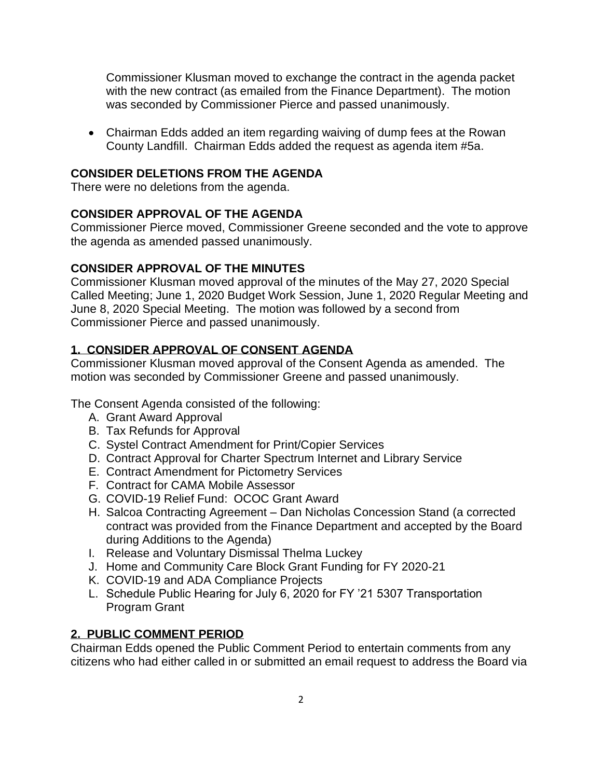Commissioner Klusman moved to exchange the contract in the agenda packet with the new contract (as emailed from the Finance Department). The motion was seconded by Commissioner Pierce and passed unanimously.

• Chairman Edds added an item regarding waiving of dump fees at the Rowan County Landfill. Chairman Edds added the request as agenda item #5a.

## **CONSIDER DELETIONS FROM THE AGENDA**

There were no deletions from the agenda.

### **CONSIDER APPROVAL OF THE AGENDA**

Commissioner Pierce moved, Commissioner Greene seconded and the vote to approve the agenda as amended passed unanimously.

### **CONSIDER APPROVAL OF THE MINUTES**

Commissioner Klusman moved approval of the minutes of the May 27, 2020 Special Called Meeting; June 1, 2020 Budget Work Session, June 1, 2020 Regular Meeting and June 8, 2020 Special Meeting. The motion was followed by a second from Commissioner Pierce and passed unanimously.

# **1. CONSIDER APPROVAL OF CONSENT AGENDA**

Commissioner Klusman moved approval of the Consent Agenda as amended. The motion was seconded by Commissioner Greene and passed unanimously.

The Consent Agenda consisted of the following:

- A. Grant Award Approval
- B. Tax Refunds for Approval
- C. Systel Contract Amendment for Print/Copier Services
- D. Contract Approval for Charter Spectrum Internet and Library Service
- E. Contract Amendment for Pictometry Services
- F. Contract for CAMA Mobile Assessor
- G. COVID-19 Relief Fund: OCOC Grant Award
- H. Salcoa Contracting Agreement Dan Nicholas Concession Stand (a corrected contract was provided from the Finance Department and accepted by the Board during Additions to the Agenda)
- I. Release and Voluntary Dismissal Thelma Luckey
- J. Home and Community Care Block Grant Funding for FY 2020-21
- K. COVID-19 and ADA Compliance Projects
- L. Schedule Public Hearing for July 6, 2020 for FY '21 5307 Transportation Program Grant

### **2. PUBLIC COMMENT PERIOD**

Chairman Edds opened the Public Comment Period to entertain comments from any citizens who had either called in or submitted an email request to address the Board via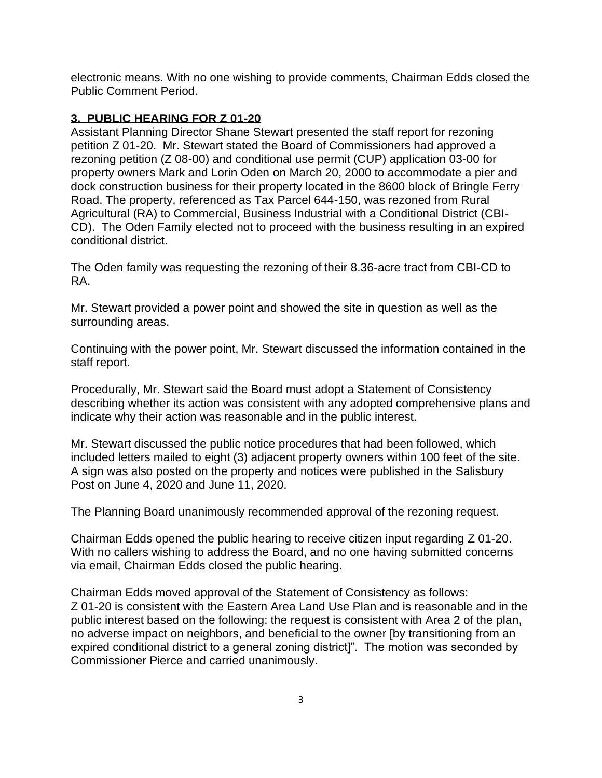electronic means. With no one wishing to provide comments, Chairman Edds closed the Public Comment Period.

## **3. PUBLIC HEARING FOR Z 01-20**

Assistant Planning Director Shane Stewart presented the staff report for rezoning petition Z 01-20. Mr. Stewart stated the Board of Commissioners had approved a rezoning petition (Z 08-00) and conditional use permit (CUP) application 03-00 for property owners Mark and Lorin Oden on March 20, 2000 to accommodate a pier and dock construction business for their property located in the 8600 block of Bringle Ferry Road. The property, referenced as Tax Parcel 644-150, was rezoned from Rural Agricultural (RA) to Commercial, Business Industrial with a Conditional District (CBI-CD). The Oden Family elected not to proceed with the business resulting in an expired conditional district.

The Oden family was requesting the rezoning of their 8.36-acre tract from CBI-CD to RA.

Mr. Stewart provided a power point and showed the site in question as well as the surrounding areas.

Continuing with the power point, Mr. Stewart discussed the information contained in the staff report.

Procedurally, Mr. Stewart said the Board must adopt a Statement of Consistency describing whether its action was consistent with any adopted comprehensive plans and indicate why their action was reasonable and in the public interest.

Mr. Stewart discussed the public notice procedures that had been followed, which included letters mailed to eight (3) adjacent property owners within 100 feet of the site. A sign was also posted on the property and notices were published in the Salisbury Post on June 4, 2020 and June 11, 2020.

The Planning Board unanimously recommended approval of the rezoning request.

Chairman Edds opened the public hearing to receive citizen input regarding Z 01-20. With no callers wishing to address the Board, and no one having submitted concerns via email, Chairman Edds closed the public hearing.

Chairman Edds moved approval of the Statement of Consistency as follows: Z 01-20 is consistent with the Eastern Area Land Use Plan and is reasonable and in the public interest based on the following: the request is consistent with Area 2 of the plan, no adverse impact on neighbors, and beneficial to the owner [by transitioning from an expired conditional district to a general zoning district]". The motion was seconded by Commissioner Pierce and carried unanimously.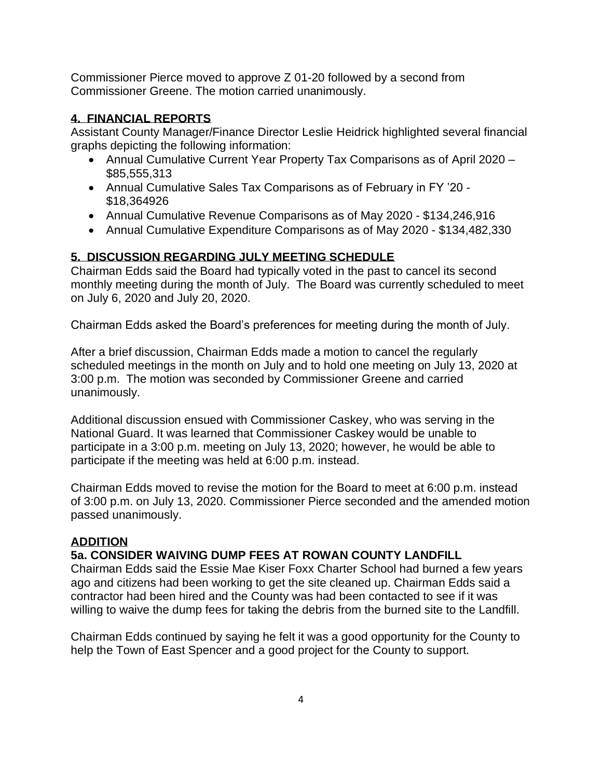Commissioner Pierce moved to approve Z 01-20 followed by a second from Commissioner Greene. The motion carried unanimously.

## **4. FINANCIAL REPORTS**

Assistant County Manager/Finance Director Leslie Heidrick highlighted several financial graphs depicting the following information:

- Annual Cumulative Current Year Property Tax Comparisons as of April 2020 \$85,555,313
- Annual Cumulative Sales Tax Comparisons as of February in FY '20 \$18,364926
- Annual Cumulative Revenue Comparisons as of May 2020 \$134,246,916
- Annual Cumulative Expenditure Comparisons as of May 2020 \$134,482,330

# **5. DISCUSSION REGARDING JULY MEETING SCHEDULE**

Chairman Edds said the Board had typically voted in the past to cancel its second monthly meeting during the month of July. The Board was currently scheduled to meet on July 6, 2020 and July 20, 2020.

Chairman Edds asked the Board's preferences for meeting during the month of July.

After a brief discussion, Chairman Edds made a motion to cancel the regularly scheduled meetings in the month on July and to hold one meeting on July 13, 2020 at 3:00 p.m. The motion was seconded by Commissioner Greene and carried unanimously.

Additional discussion ensued with Commissioner Caskey, who was serving in the National Guard. It was learned that Commissioner Caskey would be unable to participate in a 3:00 p.m. meeting on July 13, 2020; however, he would be able to participate if the meeting was held at 6:00 p.m. instead.

Chairman Edds moved to revise the motion for the Board to meet at 6:00 p.m. instead of 3:00 p.m. on July 13, 2020. Commissioner Pierce seconded and the amended motion passed unanimously.

### **ADDITION**

# **5a. CONSIDER WAIVING DUMP FEES AT ROWAN COUNTY LANDFILL**

Chairman Edds said the Essie Mae Kiser Foxx Charter School had burned a few years ago and citizens had been working to get the site cleaned up. Chairman Edds said a contractor had been hired and the County was had been contacted to see if it was willing to waive the dump fees for taking the debris from the burned site to the Landfill.

Chairman Edds continued by saying he felt it was a good opportunity for the County to help the Town of East Spencer and a good project for the County to support.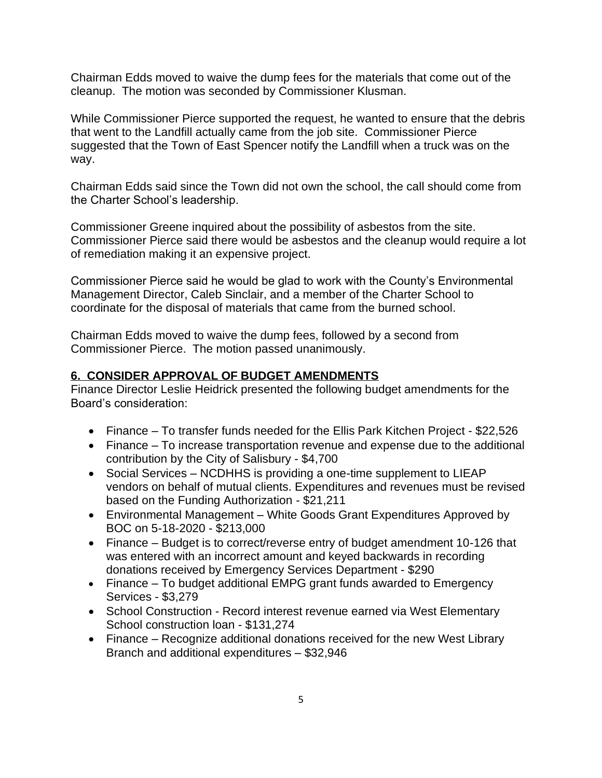Chairman Edds moved to waive the dump fees for the materials that come out of the cleanup. The motion was seconded by Commissioner Klusman.

While Commissioner Pierce supported the request, he wanted to ensure that the debris that went to the Landfill actually came from the job site. Commissioner Pierce suggested that the Town of East Spencer notify the Landfill when a truck was on the way.

Chairman Edds said since the Town did not own the school, the call should come from the Charter School's leadership.

Commissioner Greene inquired about the possibility of asbestos from the site. Commissioner Pierce said there would be asbestos and the cleanup would require a lot of remediation making it an expensive project.

Commissioner Pierce said he would be glad to work with the County's Environmental Management Director, Caleb Sinclair, and a member of the Charter School to coordinate for the disposal of materials that came from the burned school.

Chairman Edds moved to waive the dump fees, followed by a second from Commissioner Pierce. The motion passed unanimously.

### **6. CONSIDER APPROVAL OF BUDGET AMENDMENTS**

Finance Director Leslie Heidrick presented the following budget amendments for the Board's consideration:

- Finance To transfer funds needed for the Ellis Park Kitchen Project \$22,526
- Finance To increase transportation revenue and expense due to the additional contribution by the City of Salisbury - \$4,700
- Social Services NCDHHS is providing a one-time supplement to LIEAP vendors on behalf of mutual clients. Expenditures and revenues must be revised based on the Funding Authorization - \$21,211
- Environmental Management White Goods Grant Expenditures Approved by BOC on 5-18-2020 - \$213,000
- Finance Budget is to correct/reverse entry of budget amendment 10-126 that was entered with an incorrect amount and keyed backwards in recording donations received by Emergency Services Department - \$290
- Finance To budget additional EMPG grant funds awarded to Emergency Services - \$3,279
- School Construction Record interest revenue earned via West Elementary School construction loan - \$131,274
- Finance Recognize additional donations received for the new West Library Branch and additional expenditures – \$32,946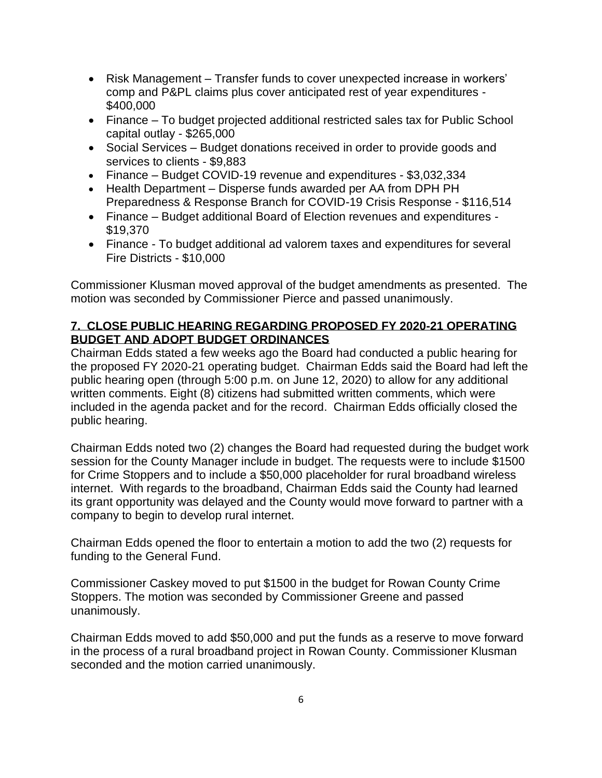- Risk Management Transfer funds to cover unexpected increase in workers' comp and P&PL claims plus cover anticipated rest of year expenditures - \$400,000
- Finance To budget projected additional restricted sales tax for Public School capital outlay - \$265,000
- Social Services Budget donations received in order to provide goods and services to clients - \$9,883
- Finance Budget COVID-19 revenue and expenditures \$3,032,334
- Health Department Disperse funds awarded per AA from DPH PH Preparedness & Response Branch for COVID-19 Crisis Response - \$116,514
- Finance Budget additional Board of Election revenues and expenditures \$19,370
- Finance To budget additional ad valorem taxes and expenditures for several Fire Districts - \$10,000

Commissioner Klusman moved approval of the budget amendments as presented. The motion was seconded by Commissioner Pierce and passed unanimously.

## **7. CLOSE PUBLIC HEARING REGARDING PROPOSED FY 2020-21 OPERATING BUDGET AND ADOPT BUDGET ORDINANCES**

Chairman Edds stated a few weeks ago the Board had conducted a public hearing for the proposed FY 2020-21 operating budget. Chairman Edds said the Board had left the public hearing open (through 5:00 p.m. on June 12, 2020) to allow for any additional written comments. Eight (8) citizens had submitted written comments, which were included in the agenda packet and for the record. Chairman Edds officially closed the public hearing.

Chairman Edds noted two (2) changes the Board had requested during the budget work session for the County Manager include in budget. The requests were to include \$1500 for Crime Stoppers and to include a \$50,000 placeholder for rural broadband wireless internet. With regards to the broadband, Chairman Edds said the County had learned its grant opportunity was delayed and the County would move forward to partner with a company to begin to develop rural internet.

Chairman Edds opened the floor to entertain a motion to add the two (2) requests for funding to the General Fund.

Commissioner Caskey moved to put \$1500 in the budget for Rowan County Crime Stoppers. The motion was seconded by Commissioner Greene and passed unanimously.

Chairman Edds moved to add \$50,000 and put the funds as a reserve to move forward in the process of a rural broadband project in Rowan County. Commissioner Klusman seconded and the motion carried unanimously.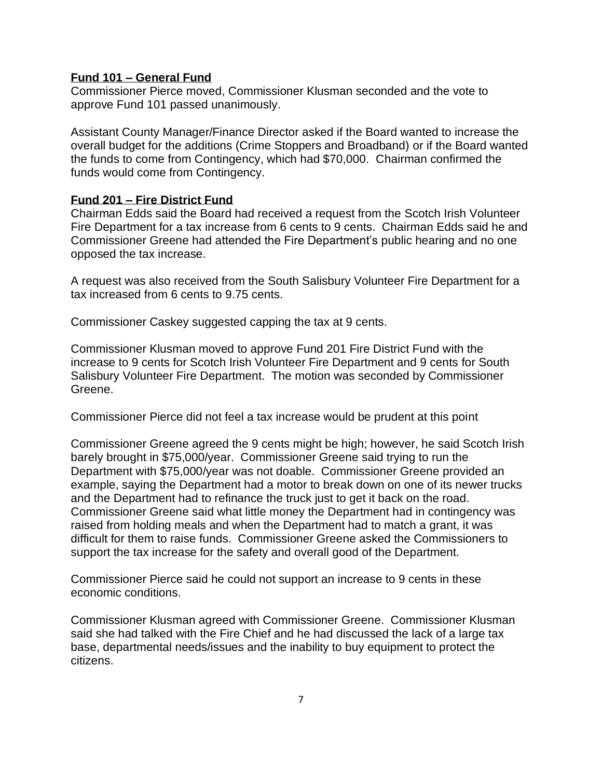#### **Fund 101 – General Fund**

Commissioner Pierce moved, Commissioner Klusman seconded and the vote to approve Fund 101 passed unanimously.

Assistant County Manager/Finance Director asked if the Board wanted to increase the overall budget for the additions (Crime Stoppers and Broadband) or if the Board wanted the funds to come from Contingency, which had \$70,000. Chairman confirmed the funds would come from Contingency.

#### **Fund 201 – Fire District Fund**

Chairman Edds said the Board had received a request from the Scotch Irish Volunteer Fire Department for a tax increase from 6 cents to 9 cents. Chairman Edds said he and Commissioner Greene had attended the Fire Department's public hearing and no one opposed the tax increase.

A request was also received from the South Salisbury Volunteer Fire Department for a tax increased from 6 cents to 9.75 cents.

Commissioner Caskey suggested capping the tax at 9 cents.

Commissioner Klusman moved to approve Fund 201 Fire District Fund with the increase to 9 cents for Scotch Irish Volunteer Fire Department and 9 cents for South Salisbury Volunteer Fire Department. The motion was seconded by Commissioner Greene.

Commissioner Pierce did not feel a tax increase would be prudent at this point

Commissioner Greene agreed the 9 cents might be high; however, he said Scotch Irish barely brought in \$75,000/year. Commissioner Greene said trying to run the Department with \$75,000/year was not doable. Commissioner Greene provided an example, saying the Department had a motor to break down on one of its newer trucks and the Department had to refinance the truck just to get it back on the road. Commissioner Greene said what little money the Department had in contingency was raised from holding meals and when the Department had to match a grant, it was difficult for them to raise funds. Commissioner Greene asked the Commissioners to support the tax increase for the safety and overall good of the Department.

Commissioner Pierce said he could not support an increase to 9 cents in these economic conditions.

Commissioner Klusman agreed with Commissioner Greene. Commissioner Klusman said she had talked with the Fire Chief and he had discussed the lack of a large tax base, departmental needs/issues and the inability to buy equipment to protect the citizens.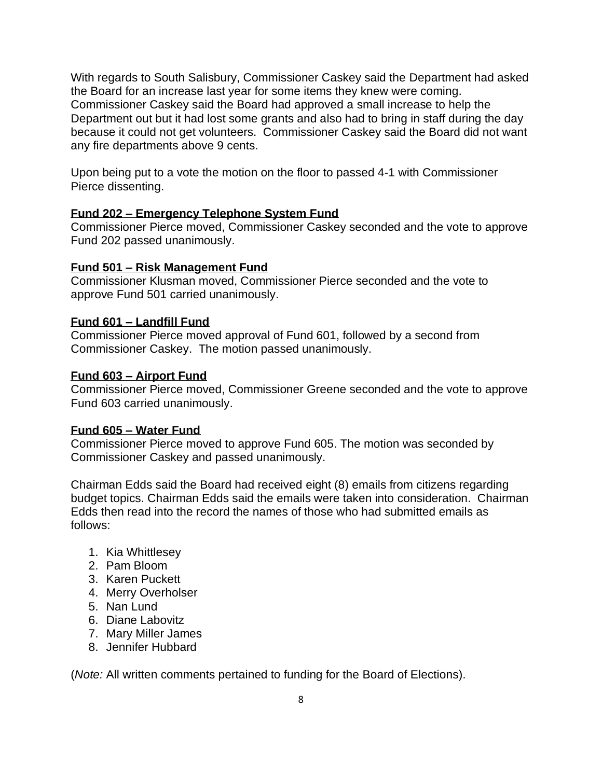With regards to South Salisbury, Commissioner Caskey said the Department had asked the Board for an increase last year for some items they knew were coming. Commissioner Caskey said the Board had approved a small increase to help the Department out but it had lost some grants and also had to bring in staff during the day because it could not get volunteers. Commissioner Caskey said the Board did not want any fire departments above 9 cents.

Upon being put to a vote the motion on the floor to passed 4-1 with Commissioner Pierce dissenting.

#### **Fund 202 – Emergency Telephone System Fund**

Commissioner Pierce moved, Commissioner Caskey seconded and the vote to approve Fund 202 passed unanimously.

#### **Fund 501 – Risk Management Fund**

Commissioner Klusman moved, Commissioner Pierce seconded and the vote to approve Fund 501 carried unanimously.

#### **Fund 601 – Landfill Fund**

Commissioner Pierce moved approval of Fund 601, followed by a second from Commissioner Caskey. The motion passed unanimously.

#### **Fund 603 – Airport Fund**

Commissioner Pierce moved, Commissioner Greene seconded and the vote to approve Fund 603 carried unanimously.

#### **Fund 605 – Water Fund**

Commissioner Pierce moved to approve Fund 605. The motion was seconded by Commissioner Caskey and passed unanimously.

Chairman Edds said the Board had received eight (8) emails from citizens regarding budget topics. Chairman Edds said the emails were taken into consideration. Chairman Edds then read into the record the names of those who had submitted emails as follows:

- 1. Kia Whittlesey
- 2. Pam Bloom
- 3. Karen Puckett
- 4. Merry Overholser
- 5. Nan Lund
- 6. Diane Labovitz
- 7. Mary Miller James
- 8. Jennifer Hubbard

(*Note:* All written comments pertained to funding for the Board of Elections).